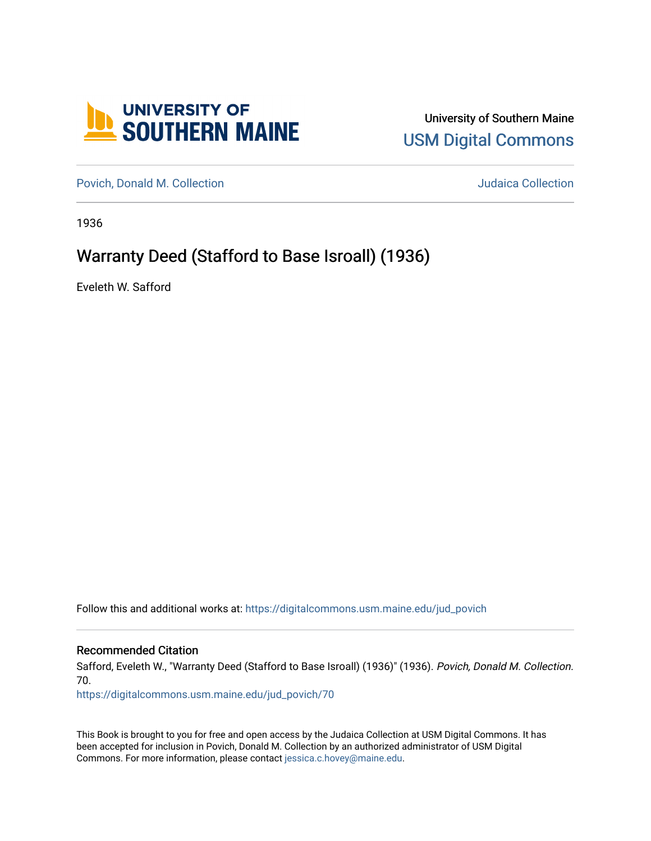

University of Southern Maine [USM Digital Commons](https://digitalcommons.usm.maine.edu/) 

[Povich, Donald M. Collection](https://digitalcommons.usm.maine.edu/jud_povich) **M. Automaker Collection** Judaica Collection

1936

## Warranty Deed (Stafford to Base Isroall) (1936)

Eveleth W. Safford

Follow this and additional works at: [https://digitalcommons.usm.maine.edu/jud\\_povich](https://digitalcommons.usm.maine.edu/jud_povich?utm_source=digitalcommons.usm.maine.edu%2Fjud_povich%2F70&utm_medium=PDF&utm_campaign=PDFCoverPages) 

Recommended Citation

Safford, Eveleth W., "Warranty Deed (Stafford to Base Isroall) (1936)" (1936). Povich, Donald M. Collection. 70.

[https://digitalcommons.usm.maine.edu/jud\\_povich/70](https://digitalcommons.usm.maine.edu/jud_povich/70?utm_source=digitalcommons.usm.maine.edu%2Fjud_povich%2F70&utm_medium=PDF&utm_campaign=PDFCoverPages)

This Book is brought to you for free and open access by the Judaica Collection at USM Digital Commons. It has been accepted for inclusion in Povich, Donald M. Collection by an authorized administrator of USM Digital Commons. For more information, please contact [jessica.c.hovey@maine.edu.](mailto:ian.fowler@maine.edu)